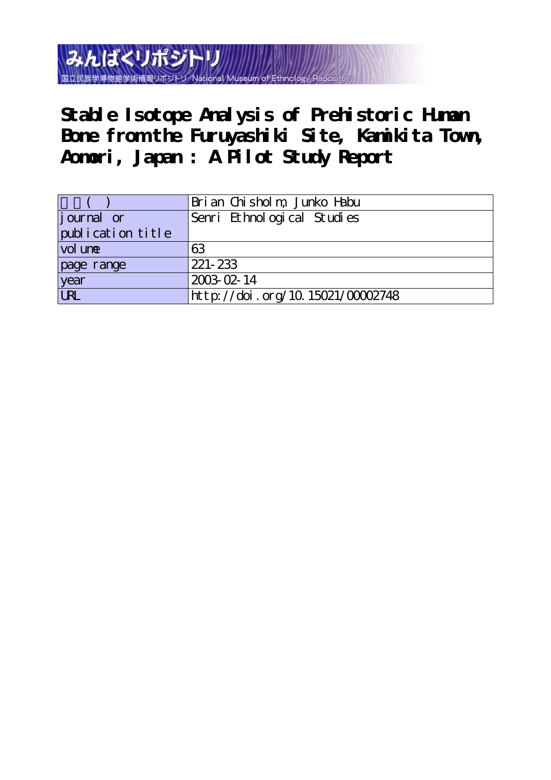みんぱくリポジト 国立民族学博物館学術情報リポジト

**Stable Isotope Analysis of Prehistoric Human Bone from the Furuyashiki Site, Kamikita Town, Aomori, Japan : A Pilot Study Report**

|                   | Bri an Chisholm, Junko Habu      |  |  |
|-------------------|----------------------------------|--|--|
| journal or        | Senri Ethnological Studies       |  |  |
| publication title |                                  |  |  |
| vol une           | 63                               |  |  |
| page range        | $221 - 233$                      |  |  |
| year              | 2003-02-14                       |  |  |
| URL               | http://doi.org/10.15021/00002748 |  |  |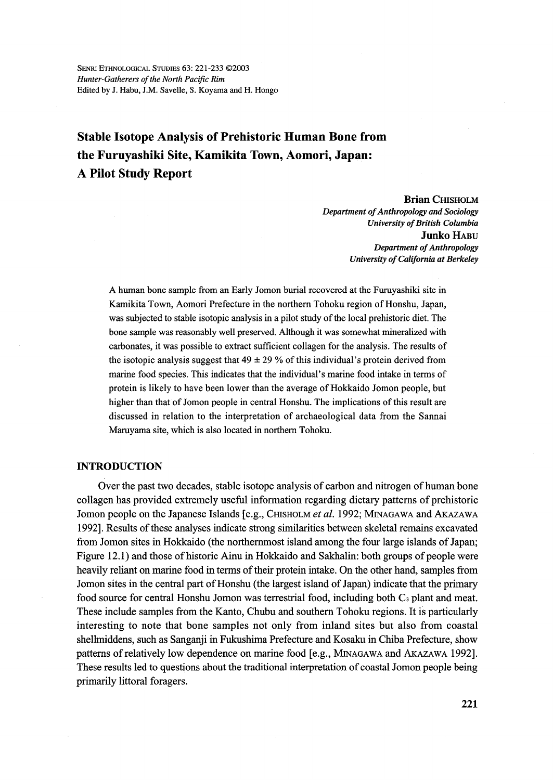SENRI ETHNOLOGICAL STUDIES 63: 221-233 @2003 Hunter-Gatherers of the North Pacific Rim Edited by J. Habu, J.M. Savelle, S. Koyama and H. Hongo

# Stable Isotope Analysis of Prehistoric Human Bone from the Furuyashiki Site, Kamikita Town, Aomori, Japan: A Pilot Study Report

 Brian CHIsHoLM Department of Anthropology and Sociology University of British Columbia Junko HABu Department of Anthropology University of California at Berkeley

A human bone sarnple from an Early Jomon burial recovered at the Furuyashiki site in Kamikita Town, Aomori Prefecture in the northern Tohoku region of Honshu, Japan, was subjected to stable isotopic analysis in a pilot study of the local prehistoric diet. The bone sample was reasonably well preserved. Although it was somewhat mineralized with carbonates, it was possible to extract sufficient collagen for the analysis. The results of the isotopic analysis suggest that  $49 \pm 29$  % of this individual's protein derived from marine food species. This indicates that the individual's marine food intake in terms of protein is likely to have been lower than the average of Hokkaido Jomon people, but higher than that of Jomon people in central Honshu. The implications of this result are discussed in relation to the interpretation of archaeological data from the Sannai Maruyama site, which is also located in northern Tohoku.

## INTRODUCTION

Over the past two decades, stable isotope analysis of carbon and nitrogen of human bone collagen has provided extremely useful information regarding dietary patterns of prehistoric Jomon people on the Japanese Islands [e.g., CHISHOLM et al. 1992; MINAGAWA and AKAZAWA 1992]. Results ofthese analyses indicate strong sirnilarities between skeleta1 remains excavated from Jomon sites in Hokkaido (the northernmost island among the four large islands of Japan; Figure 12.1) and those of historic Ainu in Hokkaido and Sakhalin: both groups of people were heavily reliant on marine food in terms of their protein intake. On the other hand, samples from Jomon sites in the central part of Honshu (the largest island of Japan) indicate that the primary food source for central Honshu Jomon was terrestrial food, including both  $C_3$  plant and meat. These include samples from the Kanto, Chubu and southern Tohoku regions. It is particularly interesting to note that bone samples not only from inland sites but also from coastal shellmiddens, such as Sanganji in Fukushima Prefecture and Kosaku in Chiba Prefecture, show patterns of relatively low dependence on marine food [e.g., MINAGAWA and AKAZAWA 1992]. These results led to questions about the traditional interpretation of coastal Jomon people being primarily littoral foragers.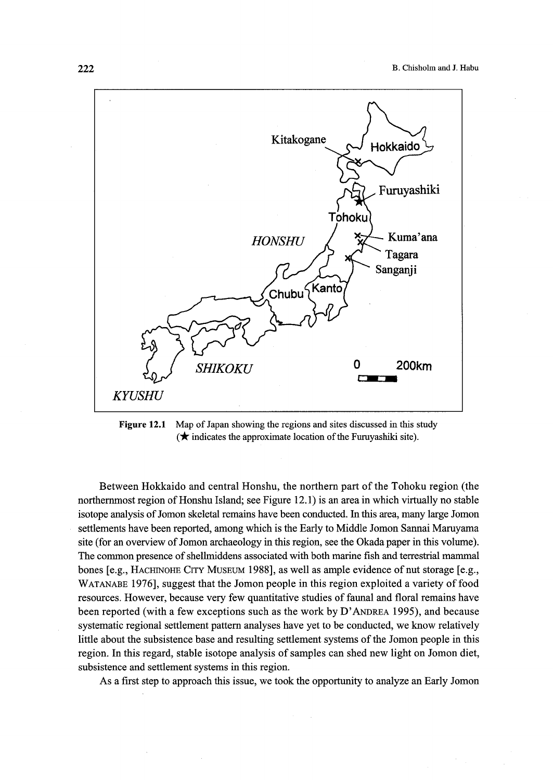

Figure 12.1 Map of Japan showing the regions and sites discussed in this study  $\star$  indicates the approximate location of the Furuyashiki site).

Between Hokkaido and central Honshu, the northern part of the Tohoku region (the northernmost region of Honshu Island; see Figure 12.1) is an area in which virtually no stable isotope analysis of Jomon skeletal remains have been conducted. ln this area, many 1arge Jomon settlements have been reported, among which is the Early to Middle Jomon Sannai Maruyama site (for an overview of Jomon archaeology in this region, see the Okada paper in this volume). The common presence of shellmiddens associated with both marine fish and terrestrial mammal bones [e.g., HACHINOHE CITY MUSEUM 1988], as well as ample evidence of nut storage [e.g., WATANABE 1976], suggest that the Jomon people in this region exploited a variety of food resources. However, because very few quantitative studies of faunal and floral remains have been reported (with a few exceptions such as the work by D'ANDREA 1995), and because systematic regional settlement pattern analyses have yet to be conducted, we know relatively little about the subsistence base and resulting settlement systems of the Jomon people in this region. In this regard, stable isotope analysis of samples can shed new light on Jomon diet, subsistence and settlement systems in this region.

As a first step to approach this issue, we took the opportunity to analyze an Early Jomon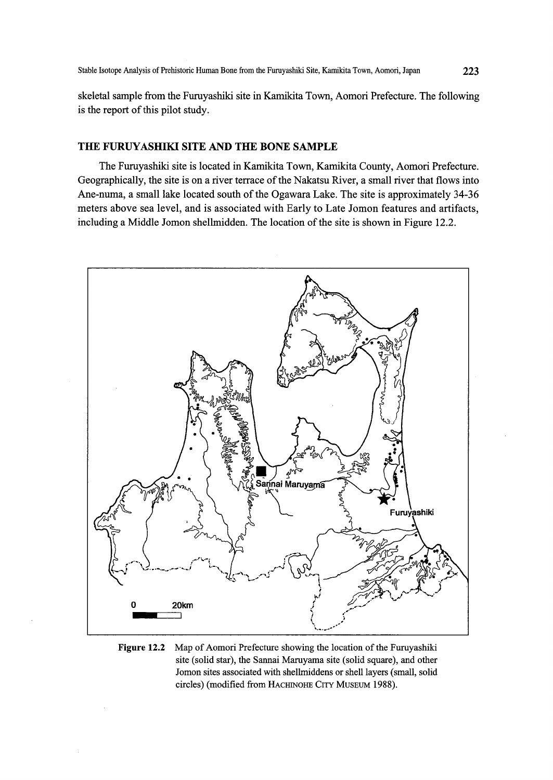skeletal sample from the Furuyashiki site in Kamikita Town, Aomori Prefecture. The following is the report of this pilot study.

## THE FURUYASHIKI SITE AND THE BONE SAMPLE

 The Fumyashiki site is located in Kamikita Town, Kamikita County, Aomori Prefecture. Geographically, the site is on a river terrace ofthe Nakatsu River, a small river that flows into Ane-numa, a small lake located south of the Ogawara Lake. The site is approximately 34-36 meters above sea level, and is associated with Early to Late Jomon features and artifacts, including a Middle Jomon shellmidden. The location of the site is shown in Figure 12.2.



Figure 12.2 Map of Aomori Prefecture showing the location of the Furuyashiki site (solid star), the Sannai Maruyama site (solid square), and other Jomon sites associated with shellmiddens or shell layers (small, solid circles) (modified from HACHINOHE CITY MUSEUM 1988).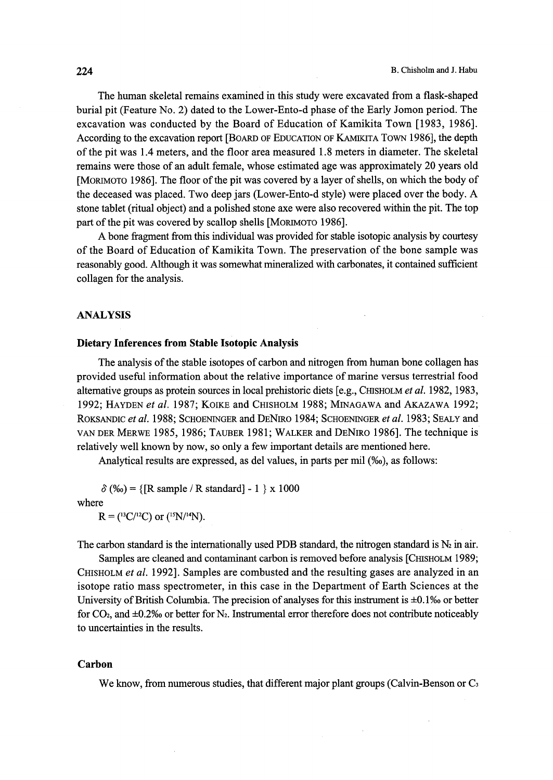The human skeletal remains examined in this study were excavated from a flask-shaped burial pit (Feature No. 2) dated to the Lower-Ento-d phase ofthe Early Jomon period. The excavation was conducted by the Board of Education of Kamikita Town [1983, 1986]. According to the excavation report [BOARD OF EDUCATION OF KAMIKITA TOWN 1986], the depth ofthe pit was 1.4 meters, and the floor area measured 1.8 meters in diameter. The skeletal remains were those of an adult female, whose estimated age was approximately 20 years old [MORIMOTO 1986]. The floor of the pit was covered by a layer of shells, on which the body of the deceased was placed. Two deep jars (Lower-Ento-d style) were placed over the body. A stone tablet (ritual object) and a polished stone axe were also recovered within the pit. The top part of the pit was covered by scallop shells [MORIMOTO 1986].

 A bone fragment from this individual was provided for stable isotopic analysis by courtesy of the Board of Education of Kamikita Town. The preservation of the bone sample was reasonably good. Although it was somewhat mineralized with carbonates, it contained sufficient collagen for the analysis.

#### ANALYSIS

#### Dietary Inferences from Stable Isotopic Analysis

The analysis of the stable isotopes of carbon and nitrogen from human bone collagen has provided useful information about the relative importance of marine versus terrestrial food alternative groups as protein sources in local prehistoric diets [e.g., CHIsHoLM et al. 1982, 1983, 1992; HAYDEN et al. 1987; KOIKE and CHISHOLM 1988; MINAGAWA and AKAZAWA 1992; ROKSANDIC et al. 1988; SCHOENINGER and DENIRO 1984; SCHOENINGER et al. 1983; SEALY and vAN DER MERwE 1985, 1986; TAuBER 1981; WALKER and DENiRo 1986]. The technique is relatively well known by now, so only a few important details are mentioned here.

Analytical results are expressed, as del values, in parts per mil (%o), as follows:

 $\delta$  (%) = {[R sample / R standard] - 1 } x 1000 where

 $R = (^{13}C/^{12}C)$  or  $(^{15}N/^{14}N)$ .

The carbon standard is the internationally used PDB standard, the nitrogen standard is  $N_2$  in air.

Samples are cleaned and contaminant carbon is removed before analysis [CHISHOLM 1989; CHISHOLM et al. 1992]. Samples are combusted and the resulting gases are analyzed in an isotope ratio mass spectrometer, in this case in the Department of Earth Sciences at the University of British Columbia. The precision of analyses for this instrument is  $\pm 0.1\%$  or better for  $CO<sub>2</sub>$ , and  $\pm 0.2\%$  or better for N<sub>2</sub>. Instrumental error therefore does not contribute noticeably to uncertainties in the results.

#### Carbon

We know, from numerous studies, that different major plant groups (Calvin-Benson or  $C_3$ )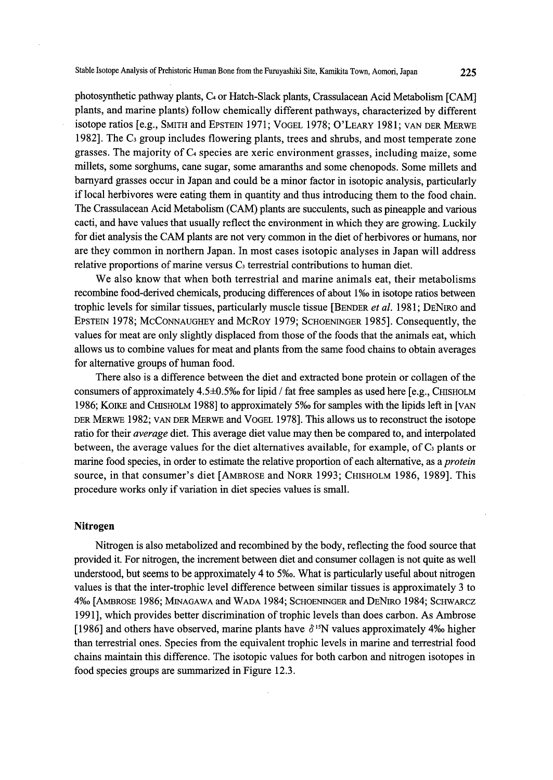photosynthetic pathway plants, C<sub>4</sub> or Hatch-Slack plants, Crassulacean Acid Metabolism [CAM] plants, and marine plants) fbllow chemically different pathways, characterized by different isotope ratios [e.g., SMITH and EPSTEIN 1971; VOGEL 1978; O'LEARY 1981; VAN DER MERWE 1982]. The  $C_3$  group includes flowering plants, trees and shrubs, and most temperate zone grasses. The majority of C4 species are xeric environment grasses, including maize, some mi11ets, some sorghums, cane sugar, some amaranths and some chenopods. Some millets and barnyard grasses occur in Japan and could be a minor factor in isotopic analysis, particularly if Iocal herbivores were eating them in quantity and thus introducing them to the food chain. The Crassulacean Acid Metabolism (CAM) plants are succulents, such as pineapple and various cacti, and have values that usually reflect the environment in which they are growing. Luckily for diet analysis the CAM plants are not very common in the diet of herbivores or humans, nor are they common in northern Japan. In most cases isotopic analyses in Japan will address relative proportions of marine versus  $C_3$  terrestrial contributions to human diet.

 We also know that when both terrestrial and marine animals eat, their metabolisms recombine food-derived chemicals, producing differences of about 1%o in isotope ratios between trophic levels for similar tissues, particularly muscle tissue [BENDER *et al.* 1981; DENIRO and EpsTEiN 1978; McCoNNAuGHEy and McRoy 1979; ScHoENiNGER 1985]. Consequently, the values for meat are only slightly displaced from those of the foods that the animals eat, which allows us to combine values for meat and plants from the same food chains to obtain averages for alternative groups of human food.

 There also is a difference between the diet and extracted bone protein or collagen of the consumers of approximately  $4.5\pm0.5\%$  for lipid / fat free samples as used here [e.g., CHISHOLM 1986; KOIKE and CHISHOLM 1988] to approximately 5‰ for samples with the lipids left in [VAN DER MERwE 1982; vAN DER MERwE and VoGEL 1978]. This allows us to reconstmct the isotope ratio for their *average* diet. This average diet value may then be compared to, and interpolated between, the average values for the diet alternatives available, for example, of  $C_3$  plants or marine food species, in order to estimate the relative proportion of each alternative, as a *protein* source, in that consumer's diet [AMBROSE and NORR 1993; CHISHOLM 1986, 1989]. This procedure works only if variation in diet species values is small.

## Nitrogen

Nitrogen is also metabolized and recombined by the body, reflecting the food source that provided it. For nitrogen, the increment between diet and consumer collagen is not quite as well understood, but seems to be approximately 4 to 5‰. What is particularly useful about nitrogen values is that the inter-trophic level difference between similar tissues is approximately 3 to 4%o [AMBRosE 1986; MiNAGAwA and WADA 1984; ScHoENiNGER and DENiRo 1984; ScHwARcz 1991], which provides better discrimination of trophic levels than does carbon. As Ambrose [1986] and others have observed, marine plants have  $\delta^{15}N$  values approximately 4‰ higher than terrestrial ones. Species from the equivalent trophic levels in marine and terrestrial food chains maintain this difference. The isotopic values for both carbon and nitrogen isotopes in food species groups are summarized in Figure 12.3.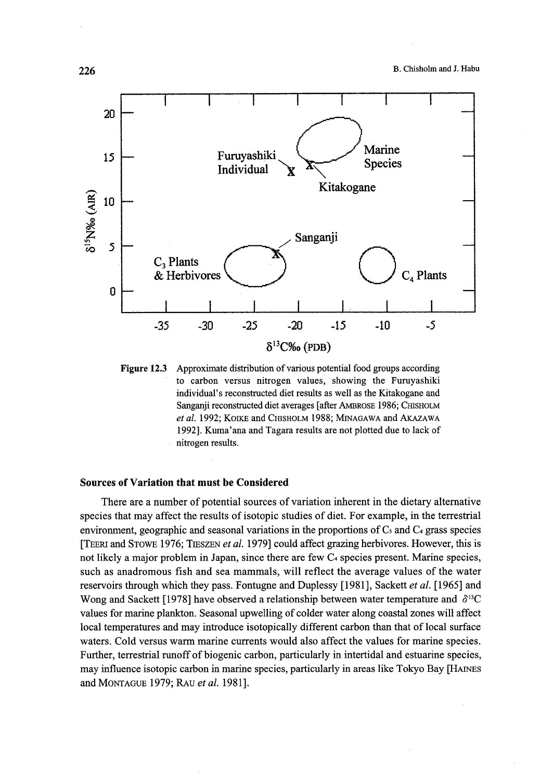

Figure 12.3 Approximate distribution of various potential food groups according to carbon versus nitrogen values, showing the Furuyashiki individual's reconstructed diet results as well as the Kitakogane and Sanganji reconstructed diet averages [after AMBROSE 1986; CHISHOLM et al. 1992; KOIKE and CHISHOLM 1988; MINAGAWA and AKAZAWA 1992]. Kuma'ana and Tagara results are not plotted due to lack of nitrogen results.

#### Sources of Variation that must be Considered

There are a number of potential sources of variation inherent in the dietary alternative species that may affect the results of isotopic studies of diet. For example, in the terrestrial environment, geographic and seasonal variations in the proportions of  $C_3$  and  $C_4$  grass species [TEERI and STOWE 1976; TIESZEN et al. 1979] could affect grazing herbivores. However, this is not likely a major problem in Japan, since there are few  $C_4$  species present. Marine species, such as anadromous fish and sea mammals, will reflect the average values of the water reservoirs through which they pass. Fontugne and Duplessy [1981], Sackett et al. [1965] and Wong and Sackett [1978] have observed a relationship between water temperature and  $\delta^{13}C$ values for marine plankton. Seasonal upwelling of colder water along coastal zones will affect local temperatures and may introduce isotopically different carbon than that of local surface waters. Cold versus warm marine currents would also affect the values for marine species. Further, terrestrial runoff of biogenic carbon, particularly in intertidal and estuarine species, may influence isotopic carbon in marine species, particularly in areas like Tokyo Bay [HAiNEs and MoNTAGuE 1979; RAu et al. 1981].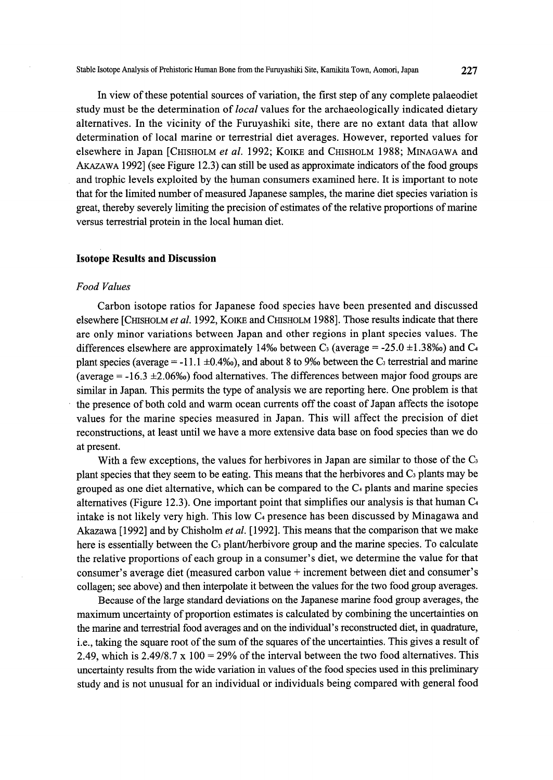In view of these potential sources of variation, the first step of any complete palaeodiet study must be the determination of *local* values for the archaeologically indicated dietary alternatives. In the vicinity of the Furuyashiki site, there are no extant data that allow determination of local marine or terrestrial diet averages. However, reported values for elsewhere in Japan [CHISHOLM et al. 1992; KOIKE and CHISHOLM 1988; MINAGAWA and AKAzAwA 1992] (see Figure 12.3) can still be used as approximate indicators ofthe food groups and trophic levels exploited by the human consumers examined here. It is important to note that for the limited number of measured Japanese samples, the marine diet species variation is great, thereby severely limiting the precision of estimates of the relative proportions of marine versus terrestrial protein in the local human diet.

#### Isotope Results and Discussion

#### Food Values

Carbon isotope ratios for Japanese food species have been presented and discussed elsewhere [CHISHOLM et al. 1992, KOIKE and CHISHOLM 1988]. Those results indicate that there are only minor variations between Japan and other regions in plant species values. The differences elsewhere are approximately 14‰ between C<sub>3</sub> (average = -25.0 ±1.38‰) and C<sub>4</sub> plant species (average = -11.1  $\pm$ 0.4‰), and about 8 to 9‰ between the C<sub>3</sub> terrestrial and marine (average  $= -16.3 \pm 2.06\%$ ) food alternatives. The differences between major food groups are similar in Japan. This permits the type of analysis we are reporting here. One problem is that the presence of both cold and warm ocean currents off the coast of Japan affects the isotope values for the marine species measured in Japan. This will affect the precision of diet reconstructions, at least until we have a more extensive data base on food species than we do at present.

With a few exceptions, the values for herbivores in Japan are similar to those of the  $C_3$ plant species that they seem to be eating. This means that the herbivores and  $C_3$  plants may be grouped as one diet alternative, which can be compared to the C4 plants and marine species alternatives (Figure 12.3). One important point that simplifies our analysis is that human  $C_4$ intake is not likely very high. This low  $C_4$  presence has been discussed by Minagawa and Akazawa [1992] and by Chisholm et al. [1992]. This means that the comparison that we make here is essentially between the  $C_3$  plant/herbivore group and the marine species. To calculate the relative proportions ofeach group in a consumer's diet, we determine the value for that consumer's average diet (measured carbon value + increment between diet and consumer's collagen; see above) and then interpolate it between the values for the two food group averages.

 Because ofthe large standard deviations on the Japanese marine food group averages, the maximum uncertainty of proportion estimates is calculated by combining the uncertainties on the marine and terrestrial food averages and on the individual's reconstmcted diet, in quadrature, i.e., taking the square root of the sum of the squares of the uncertainties. This gives a result of 2.49, which is  $2.49/8.7 \times 100 = 29\%$  of the interval between the two food alternatives. This uncertainty results from the wide variation in values of the food species used in this preliminary study and is not unusual for an individual or individuals being compared with general food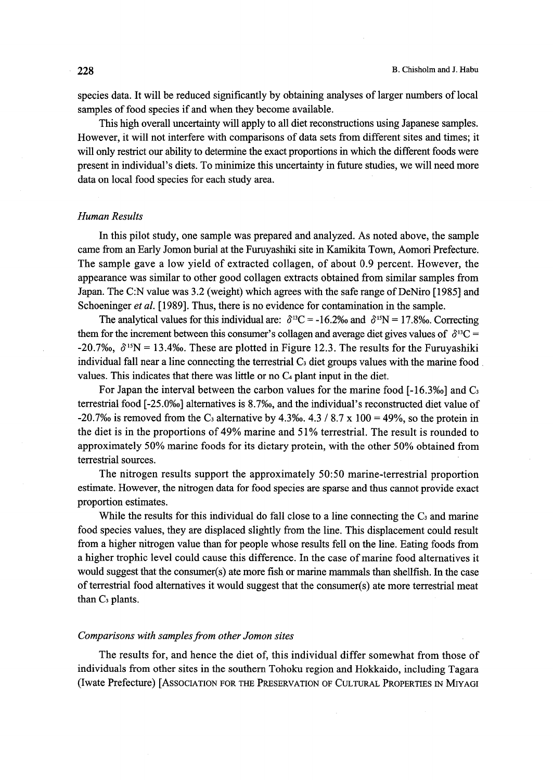species data. It will be reduced significantly by obtaining analyses of larger numbers of local samples of food species if and when they become available.

 This high overall uncertainty will apply to all diet reconstructions using Japanese samples. However, it will not interfere with comparisons of data sets from different sites and times; it will only restrict our ability to determine the exact proportions in which the different foods were present in individual's diets. To minimize this uncertainty in future studies, we will need more data on local food species for each study area.

#### Human Results

 In this pilot study, one sample was prepared and analyzed. As noted above, the sample came from an Early Jomon burial at the Furuyashiki site in Kamikita Town, Aomori Prefecture. The sample gave a low yield of extracted collagen, of about O.9 percent. However, the appearance was similar to other good collagen extracts obtained from similar samples from Japan. The C:N value was 3.2 (weight) which agrees with the safe range of DeNiro [1985] and Schoeninger et al. [1989]. Thus, there is no evidence for contamination in the sample.

The analytical values for this individual are:  $\delta^{13}C = -16.2\%$  and  $\delta^{15}N = 17.8\%$ . Correcting them for the increment between this consumer's collagen and average diet gives values of  $\delta^{13}C =$ -20.7%,  $\delta^{15}N = 13.4\%$ . These are plotted in Figure 12.3. The results for the Furuyashiki individual fall near a line connecting the terrestrial  $C_3$  diet groups values with the marine food values. This indicates that there was little or no C4 plant input in the diet.

For Japan the interval between the carbon values for the marine food  $[-16.3\%]$  and  $C_3$ terrestrial fbod [-25.0%o] alternatives is 8.7%o, and the individual's reconstmcted diet value of -20.7% is removed from the C<sub>3</sub> alternative by 4.3% 4.3 / 8.7 x 100 = 49%, so the protein in the diet is in the proportions of 49% marine and 51% terrestrial. The result is rounded to approximately 50% marine foods for its dietary protein, with the other 50% obtained from terrestrial sources.

 The nitrogen results support the approximately 50:50 marine-terrestrial proportion estimate. However, the nitrogen data for food species are sparse and thus cannot provide exact proportion estimates.

While the results for this individual do fall close to a line connecting the  $C_3$  and marine food species values, they are displaced slightly from the line. This displacement could result from a higher nitrogen value than for people whose results fell on the line. Eating foods from a higher trophic level could cause this difference. In the case of marine food alternatives it would suggest that the consumer(s) ate more fish or marine mammals than shellfish. In the case ofterrestrial food alternatives it would suggest that the consumer(s) ate more terrestrial meat than  $C_3$  plants.

### Comparisons with samples from other Jomon sites

The results for, and hence the diet of, this individual differ somewhat from those of individuals from other sites in the southern Tohoku region and Hokkaido, including Tagara (Iwate Prefecture) [AssoclATIoN FoR THE PREsERvATIoN oF CuLTuRAL PRopERTIEs IN MIyAGI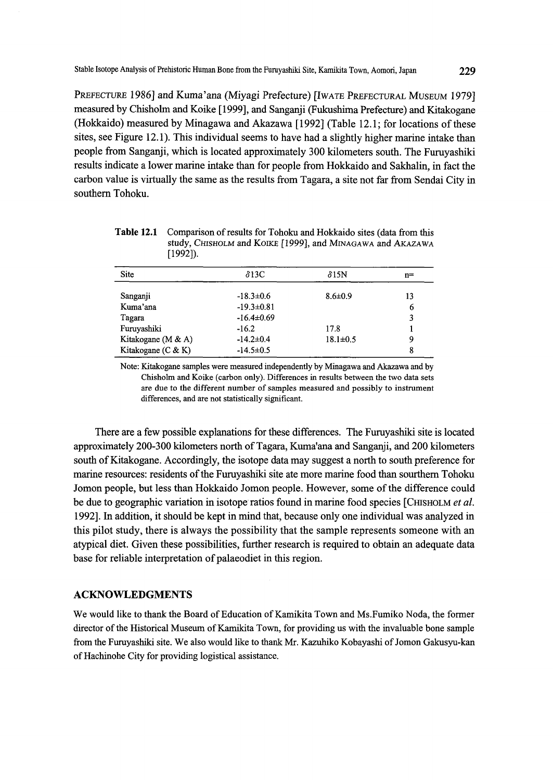PREFEcTuRE 1986] and Kuma'ana (Miyagi Prefecture) [IwATE PREFEcTuRAL MusEuM 1979] measured by Chisholm and Koike [1999], and Sanganji (Fukushima Prefecture) and Kitakogane (Hokkaido) measured by Minagawa and Akazawa  $[1992]$  (Table 12.1; for locations of these sites, see Figure 12.1). This individual seems to have had a slightly higher marine intake than people from Sangaaji, which is located approximately 300 kilometers south. The Furuyashiki results indicate a lower marine intake than for people from Hokkaido and Sakhalin, in fact the carbon value is virtually the same as the results from Tagara, a site not fat from Sendai City in southern Tohoku.

Table 12.1 Comparison of results for Tohoku and Hokkaido sites (data from this study, CHISHOLM and KOIKE [1999], and MINAGAWA and AKAZAWA [1992]).

| <b>Site</b>        | $\delta$ 13C     | $\delta$ 15N   | $n =$ |
|--------------------|------------------|----------------|-------|
| Sanganji           | $-18.3 \pm 0.6$  | $8.6 \pm 0.9$  | 13    |
| Kuma'ana           | $-19.3 \pm 0.81$ |                | 6     |
| Tagara             | $-16.4 \pm 0.69$ |                | 3     |
| Furuyashiki        | $-16.2$          | 17.8           |       |
| Kitakogane (M & A) | $-14.2 \pm 0.4$  | $18.1 \pm 0.5$ | 9     |
| Kitakogane (C & K) | $-14.5 \pm 0.5$  |                | 8     |

Note: Kitakogane samples were measured independently by Minagawa and Akazawa and by Chisholm and Koike (carbon only). Differences in results between the two data sets are due to the different number of samples measured and possjbly to instrument differences, and are not statistically significant.

There are a few possible explanations for these differences. The Furuyashiki site is located approximately 200-300 kilometers north of Tagara, Kuma'ana and Sanganji, and 200 kilometers south of Kitakogane. Accordingly, the isotope data may suggest a north to south preference for marine resources: residents of the Furuyashiki site ate more marine food than sourthern Tohoku Jomon people, but less than Hokkaido Jomon people. However, some of the difference could be due to geographic variation in isotope ratios found in marine food species [CHISHOLM et al. 1992]. In addition, it should be kept in mind that, because only one individual was analyzed in this pilot study, there is always the possibility that the sample represents someone with an atypical diet. Given these possibilities, further research is required to obtain an adequate data base for reliable interpretation of palaeodiet in this region.

#### ACKNOWLEDGMENTS

We would like to thank the Board of Education of Kamikita Town and Ms. Fumiko Noda, the former director of the Historical Museum of Kamikita Town, for providing us with the invaluable bone sample from the Furuyashiki site. We also would like to thank Mr. Kazuhiko Kobayashi of Jomon Gakusyu-kan of Hachinohe City for providing logistical assistance.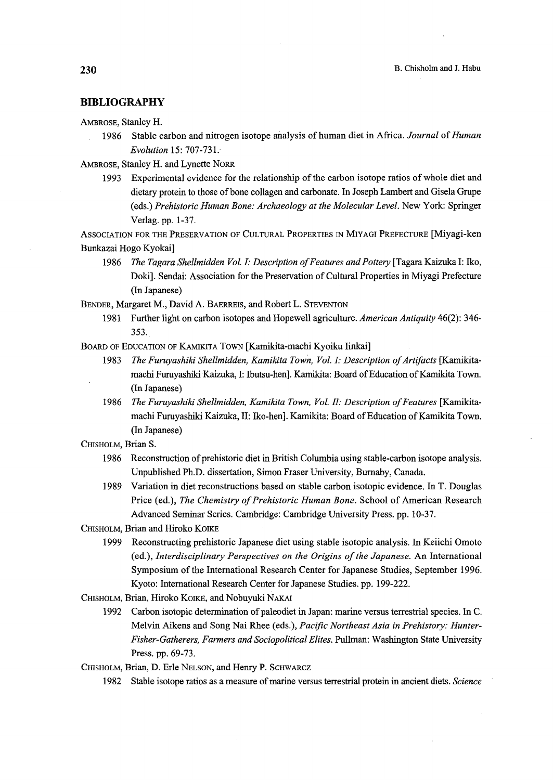#### BIBLIOGRAPHY

AMBRosE, Stanley H.

1986 Stable carbon and nitrogen isotope analysis of human diet in Africa. Journal of Human Evolution 15: 707-731.'

AMBRosE, Stanley H. and Lynette NoRR

1993 Experimental evidence for the relationship of the carbon isotope ratios of whole diet and dietary protein to those ofbone collagen and carbonate. In Joseph Lambert and Gisela Grupe (eds.) Prehistoric Human Bone: Archaeology at the Molecular Level. New York: Springer Verlag. pp. 1-37.

AssoclATIoN FOR THE PREsERVATIoN oF CuLTuRAL PROpERTIEs IN MIyAGI PREFEcTuRE [Miyagi-ken Bunkazai Hogo Kyokai]

1986 The Tagara Shellmidden Vol. I: Description of Features and Pottery [Tagara Kaizuka I: Iko, Doki]. Sendai: Association for the Preservation of Cultural Properties in Miyagi Prefecture (In Japanese)

BENDER, Margaret M., David A. BAERREis, and Robert L. STEvENToN

1981 Further light on carbon isotopes and Hopewell agriculture. American Antiquity 46(2): 346-353..

BOARD OF EDUCATION OF KAMIKITA TOWN [Kamikita-machi Kyoiku Iinkai]

- 1983 The Furuyashiki Shellmidden, Kamikita Town, Vol. I: Description of Artifacts [Kamikitamachi Furuyashiki Kaizuka, I: Ibutsu-hen]. Kamikita: Board of Education of Kamikita Town. (In Japanese)
- 1986 The Furuyashiki Shellmidden, Kamikita Town, Vol. II: Description of Features [Kamikitamachi Furuyashiki Kaizuka, II: Iko-hen]. Kamikita: Board of Education of Kamikita Town. (ln Japanese)

CHISHOLM, Brian S.

- 1986 Reconstruction of prehistoric diet in British Columbia using stable-carbon isotope analysis. Unpublished Ph.D. dissertation, Simon Fraser University, Burnaby, Canada.
- 1989 Variation in diet reconstructions based on stable carbon isotopic evidence. In T. Douglas Price (ed.), The Chemistry of Prehistoric Human Bone. School of American Research Advanced Seminar Series. Cambridge: Cambridge University Press. pp. 10-37.

CHISHOLM, Brian and Hiroko KOIKE

 1999 Reconstmcting prehistoric Japanese diet using stable isotopic analysis. In Keiichi Omoto (ed.), Interdisciplinary Perspectives on the Origins of the Japanese. An International Symposium of the International Research Center for Japanese Studies, September 1996. Kyoto: International Research Center for Japanese Studies. pp. 199-222.

CHisHoLM, Brian, Hiroko KoiKE, and Nobuyuki NAKAi

 1992 Carbon isotopic deterrnination ofpaleodiet in Japan: marine versus terrestrial species. in C. Melvin Aikens and Song Nai Rhee (eds.), Pacific Northeast Asia in Prehistory: Hunter-Fisher-Gatherers, Farmers and Sociopolitical Elites. Pullman: Washington State University Press. pp. 69-73.

CHISHOLM, Brian, D. Erle NELSON, and Henry P. SCHWARCZ

1982 Stable isotope ratios as a measure of marine versus terrestrial protein in ancient diets. Science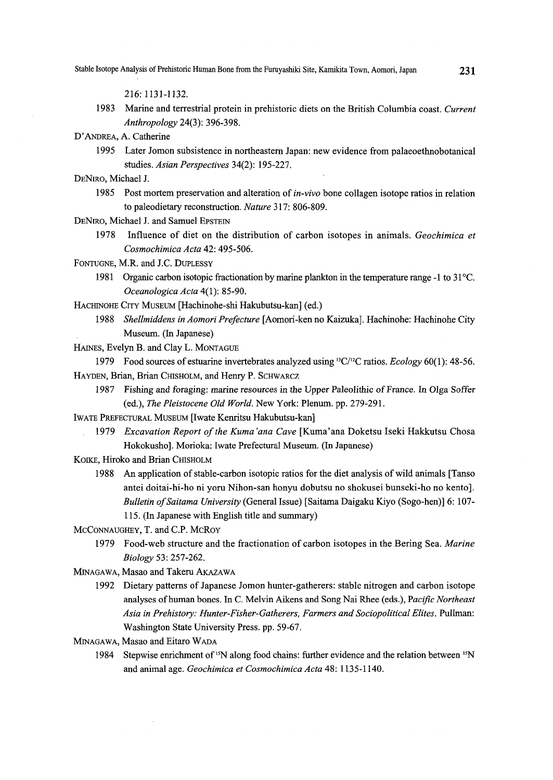216: 1131-1 132.

1983 Marine and terrestrial protein in prehistoric diets on the British Columbia coast. Current Anthropology 24(3): 396-398.

D'ANDREA, A. Catherine

 1995 Later Jomon subsistence in northeastern Japan: new evidence from palaeoethnobotanical studies. Asian Perspectives 34(2): 195-227.

- DENIRO, Michael J.<br> 1985 Post mortem preservation and alteration of *in-vivo* bone collagen isotope ratios in relation to paleodietary reconstruction. Nature 317: 806-809.
- DENIRO, Michael J. and Samuel EPSTEIN
	- 1978 Influence of diet on the distribution of carbon isotopes in animals. Geochimica et Cosmochimica Acta 42: 495-506.

FoNTuGNE, M.R. and J.C. DupLEssy

- 1981 Organic carbon isotopic fractionation by marine plankton in the temperature range  $-1$  to  $31^{\circ}$ C. Oceanologica Acta 4(1): 85-90.
- HAcHINoHE CITy MusEuM [Hachinohe-shi Hakubutsu-kan] (ed.)
	- 1988 Shellmiddens in Aomori Prefecture [Aomori-ken no Kaizuka]. Hachinohe: Hachinohe City Museum. (In Japanese)

HAiNEs, Evelyn B. and Clay L. MoNTAGuE

1979 Food sources of estuarine invertebrates analyzed using  ${}^{13}C/{}^{12}C$  ratios. Ecology 60(1): 48-56. HAYDEN, Brian, Brian CHISHOLM, and Henry P. SCHWARCZ

- 1987 Fishing and foraging: marine resources in the Upper Paleolithic of France. In Olga Soffer (ed.), The Pleistocene Old World. New York: Plenum. pp. 279-291.
- IWATE PREFECTURAL MUSEUM [Iwate Kenritsu Hakubutsu-kan]
	- 1979 Excavation Report of the Kuma'ana Cave [Kuma'ana Doketsu Iseki Hakkutsu Chosa Hokokusho]. Morioka: Iwate Prefectural Museum. (In Japanese)
- KOIKE, Hiroko and Brian CHISHOLM
	- 1988 An application of stable-carbon isotopic ratios for the diet analysis of wild animals [Tanso] antei doitai-hi-ho ni yoru Nihon-san honyu dobutsu no shokusei bunseki-ho no kento]. Bulletin of Saitama University (General Issue) [Saitama Daigaku Kiyo (Sogo-hen)] 6: 107-1 15. (In Japanese with English title and summary)
- McCoNNAuGHEy, T. and C.P. McRoy
	- 1979 Food-web structure and the fractionation of carbon isotopes in the Bering Sea. Marine Biology 53: 257-262.
- MINAGAwA, Masao and Takeru AKAzAwA
	- 1992 Dietary patterns ofJapanese Jomon hunter-gatherers: stable nitrogen and carbon isotope analyses of human bones. In C. Melvin Aikens and Song Nai Rhee (eds.), Pacific Northeast Asia in Prehistory: Hunter-Fisher-Gatherers, Farmers and Sociopolitical Elites. Pullman: Washington State University Press. pp. 59-67.
- MINAGAwA, Masao and Eitaro WADA
	- 1984 Stepwise enriclment of 'SN along food chains: further evidence and the reladon between 'N and animal age. Geochimica et Cosmochimica Acta 48: 1135-1140.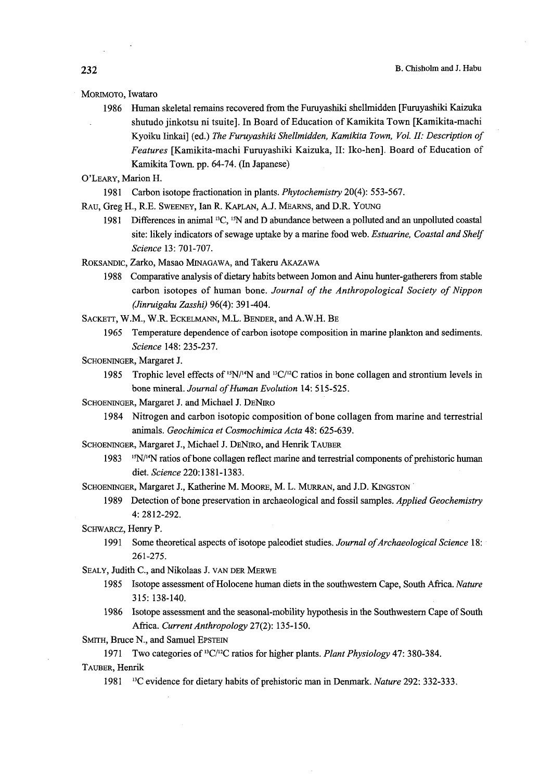#### MoRiMoTo, Iwataro

- 1986 Human skeleta1 remains recovered from the Furuyashiki shellmidden [Furuyashiki Kaizuka shutudo jinkotsu ni tsuite]. In Board of Education of Kamikita Town [Kamikita-machi Kyoiku Iinkai] (ed.) The Furuvashiki Shellmidden, Kamikita Town, Vol. II: Description of Eeatures [Kamikita-machi Furuyashiki Kaizuka, II: Iko-hen]. Board of Education of Kamikita Town. pp. 64-74. (In Japanese)
- O'LEARy, Marion H.
	- 1981 Carbon isotope fractionation in plants. Phytochemistry 20(4): 553-567.
- RAu, Greg H., R.E. SwEENEy, Ian R. KApLAN, A.J. MEARNs, and D.R. YouNG
	- 1981 Differences in animal <sup>13</sup>C, <sup>15</sup>N and D abundance between a polluted and an unpolluted coastal site: likely indicators of sewage uptake by a marine food web. Estuarine, Coastal and Shelf Science 13: 701-707.
- RoKsANDIc, Zarko, Masao MINAGAwA, and Takeru AKAzAwA
	- 1988 Comparative analysis of dietary habits between Jomon and Ainu hunter-gatherers from stable carbon isotopes of human bone. Journal of the Anthropological Society of Nippon (Jinruigaku Zasshi) 96(4): 391-404.
- SAcKETT, W.M., W.R. EcKELMANN, M.L. BENDER, and A.W.H. BE
	- 1965 Temperature dependence of carbon isotope composition in marine plankton and sediments. Science 148: 235-237.
- SCHOENINGER, Margaret J.
	- 1985 Trophic level effects of  $\frac{15N}{14}$  and  $\frac{13C}{2C}$  ratios in bone collagen and strontium levels in bone mineral. Journal of Human Evolution 14: 515-525.
- ScHoENiNGER, Margaret J. and Michael J. DENiRo
	- 1984 Nitrogen and carbon isotopic composition ofbone collagen from marine and terrestrial animals. Geochimica et Cosmochimica Acta 48: 625-639.
- SCHOENINGER, Margaret J., Michael J. DENIRO, and Henrik TAUBER
	- $1983$  <sup>15</sup>N/<sup>14</sup>N ratios of bone collagen reflect marine and terrestrial components of prehistoric human diet. Science 220:1381-1383.

SCHOENINGER, Margaret J., Katherine M. MOORE, M. L. MURRAN, and J.D. KINGSTON

- 1989 Detection of bone preservation in archaeological and fossil samples. Applied Geochemistry 4: 2812-292.
- ScHwARcz, Henry P.
	- 1991 Some theoretical aspects of isotope paleodiet studies. Journal of Archaeological Science 18: 261-275.

SEALy, Judith C., and Nikolaas J. vAN DER MERwE

- 1985 Isotope assessment of Holocene human diets in the southwestern Cape, South Africa. Nature 315: 138-140.
- 1986 Isetope assessment and the seasonal-mcibility hypothesis in the Southwestern Cape of South Africa. Current Anthropology 27(2): 135-150.

SMITH, Bruce N., and Samuel EPSTEIN

1971 Two categories of <sup>13</sup>C/<sup>12</sup>C ratios for higher plants. Plant Physiology 47: 380-384.

TAuBER, Henrik

1981 <sup>13</sup>C evidence for dietary habits of prehistoric man in Denmark. Nature 292: 332-333.